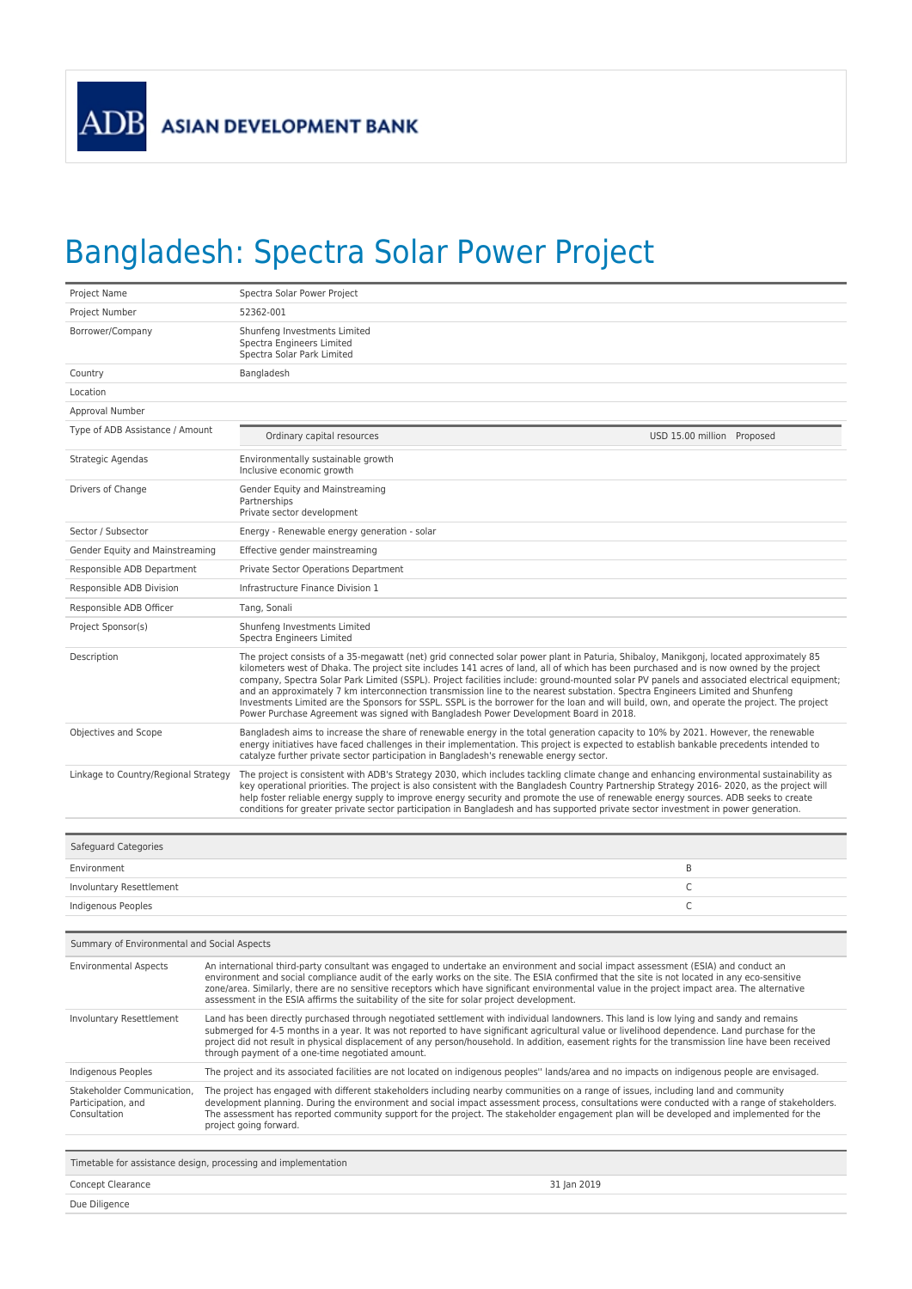## Bangladesh: Spectra Solar Power Project

| Project Name                                                     | Spectra Solar Power Project                                                                                                                                                                                                                                                                                                                                                                                                                                                                                                                                                                                                                                                                                                                                                                            |  |
|------------------------------------------------------------------|--------------------------------------------------------------------------------------------------------------------------------------------------------------------------------------------------------------------------------------------------------------------------------------------------------------------------------------------------------------------------------------------------------------------------------------------------------------------------------------------------------------------------------------------------------------------------------------------------------------------------------------------------------------------------------------------------------------------------------------------------------------------------------------------------------|--|
| Project Number                                                   | 52362-001                                                                                                                                                                                                                                                                                                                                                                                                                                                                                                                                                                                                                                                                                                                                                                                              |  |
| Borrower/Company                                                 | Shunfeng Investments Limited<br>Spectra Engineers Limited<br>Spectra Solar Park Limited                                                                                                                                                                                                                                                                                                                                                                                                                                                                                                                                                                                                                                                                                                                |  |
| Country                                                          | Bangladesh                                                                                                                                                                                                                                                                                                                                                                                                                                                                                                                                                                                                                                                                                                                                                                                             |  |
| Location                                                         |                                                                                                                                                                                                                                                                                                                                                                                                                                                                                                                                                                                                                                                                                                                                                                                                        |  |
| Approval Number                                                  |                                                                                                                                                                                                                                                                                                                                                                                                                                                                                                                                                                                                                                                                                                                                                                                                        |  |
| Type of ADB Assistance / Amount                                  | Ordinary capital resources<br>USD 15.00 million Proposed                                                                                                                                                                                                                                                                                                                                                                                                                                                                                                                                                                                                                                                                                                                                               |  |
| Strategic Agendas                                                | Environmentally sustainable growth<br>Inclusive economic growth                                                                                                                                                                                                                                                                                                                                                                                                                                                                                                                                                                                                                                                                                                                                        |  |
| Drivers of Change                                                | Gender Equity and Mainstreaming<br>Partnerships<br>Private sector development                                                                                                                                                                                                                                                                                                                                                                                                                                                                                                                                                                                                                                                                                                                          |  |
| Sector / Subsector                                               | Energy - Renewable energy generation - solar                                                                                                                                                                                                                                                                                                                                                                                                                                                                                                                                                                                                                                                                                                                                                           |  |
| Gender Equity and Mainstreaming                                  | Effective gender mainstreaming                                                                                                                                                                                                                                                                                                                                                                                                                                                                                                                                                                                                                                                                                                                                                                         |  |
| Responsible ADB Department                                       | Private Sector Operations Department                                                                                                                                                                                                                                                                                                                                                                                                                                                                                                                                                                                                                                                                                                                                                                   |  |
| Responsible ADB Division                                         | Infrastructure Finance Division 1                                                                                                                                                                                                                                                                                                                                                                                                                                                                                                                                                                                                                                                                                                                                                                      |  |
| Responsible ADB Officer                                          | Tang, Sonali                                                                                                                                                                                                                                                                                                                                                                                                                                                                                                                                                                                                                                                                                                                                                                                           |  |
| Project Sponsor(s)                                               | Shunfeng Investments Limited<br>Spectra Engineers Limited                                                                                                                                                                                                                                                                                                                                                                                                                                                                                                                                                                                                                                                                                                                                              |  |
| Description                                                      | The project consists of a 35-megawatt (net) grid connected solar power plant in Paturia, Shibaloy, Manikgonj, located approximately 85<br>kilometers west of Dhaka. The project site includes 141 acres of land, all of which has been purchased and is now owned by the project<br>company, Spectra Solar Park Limited (SSPL). Project facilities include: ground-mounted solar PV panels and associated electrical equipment;<br>and an approximately 7 km interconnection transmission line to the nearest substation. Spectra Engineers Limited and Shunfeng<br>Investments Limited are the Sponsors for SSPL. SSPL is the borrower for the loan and will build, own, and operate the project. The project<br>Power Purchase Agreement was signed with Bangladesh Power Development Board in 2018. |  |
| Objectives and Scope                                             | Bangladesh aims to increase the share of renewable energy in the total generation capacity to 10% by 2021. However, the renewable<br>energy initiatives have faced challenges in their implementation. This project is expected to establish bankable precedents intended to<br>catalyze further private sector participation in Bangladesh's renewable energy sector.                                                                                                                                                                                                                                                                                                                                                                                                                                 |  |
| Linkage to Country/Regional Strategy                             | The project is consistent with ADB's Strategy 2030, which includes tackling climate change and enhancing environmental sustainability as<br>key operational priorities. The project is also consistent with the Bangladesh Country Partnership Strategy 2016-2020, as the project will<br>help foster reliable energy supply to improve energy security and promote the use of renewable energy sources. ADB seeks to create<br>conditions for greater private sector participation in Bangladesh and has supported private sector investment in power generation.                                                                                                                                                                                                                                     |  |
| Safeguard Categories                                             |                                                                                                                                                                                                                                                                                                                                                                                                                                                                                                                                                                                                                                                                                                                                                                                                        |  |
| Environment                                                      | B                                                                                                                                                                                                                                                                                                                                                                                                                                                                                                                                                                                                                                                                                                                                                                                                      |  |
| <b>Involuntary Resettlement</b>                                  | C                                                                                                                                                                                                                                                                                                                                                                                                                                                                                                                                                                                                                                                                                                                                                                                                      |  |
| Indigenous Peoples                                               | $\mathsf{C}$                                                                                                                                                                                                                                                                                                                                                                                                                                                                                                                                                                                                                                                                                                                                                                                           |  |
|                                                                  |                                                                                                                                                                                                                                                                                                                                                                                                                                                                                                                                                                                                                                                                                                                                                                                                        |  |
| Summary of Environmental and Social Aspects                      |                                                                                                                                                                                                                                                                                                                                                                                                                                                                                                                                                                                                                                                                                                                                                                                                        |  |
| <b>Environmental Aspects</b>                                     | An international third-party consultant was engaged to undertake an environment and social impact assessment (ESIA) and conduct an<br>environment and social compliance audit of the early works on the site. The ESIA confirmed that the site is not located in any eco-sensitive<br>zone/area. Similarly, there are no sensitive receptors which have significant environmental value in the project impact area. The alternative<br>assessment in the ESIA affirms the suitability of the site for solar project development.                                                                                                                                                                                                                                                                       |  |
| Involuntary Resettlement                                         | Land has been directly purchased through negotiated settlement with individual landowners. This land is low lying and sandy and remains<br>submerged for 4-5 months in a year. It was not reported to have significant agricultural value or livelihood dependence. Land purchase for the<br>project did not result in physical displacement of any person/household. In addition, easement rights for the transmission line have been received<br>through payment of a one-time negotiated amount.                                                                                                                                                                                                                                                                                                    |  |
| Indigenous Peoples                                               | The project and its associated facilities are not located on indigenous peoples" lands/area and no impacts on indigenous people are envisaged.                                                                                                                                                                                                                                                                                                                                                                                                                                                                                                                                                                                                                                                         |  |
| Stakeholder Communication,<br>Participation, and<br>Consultation | The project has engaged with different stakeholders including nearby communities on a range of issues, including land and community<br>development planning. During the environment and social impact assessment process, consultations were conducted with a range of stakeholders.<br>The assessment has reported community support for the project. The stakeholder engagement plan will be developed and implemented for the<br>project going forward.                                                                                                                                                                                                                                                                                                                                             |  |
| Timetable for assistance design, processing and implementation   |                                                                                                                                                                                                                                                                                                                                                                                                                                                                                                                                                                                                                                                                                                                                                                                                        |  |
| Concept Clearance                                                | 31 Jan 2019                                                                                                                                                                                                                                                                                                                                                                                                                                                                                                                                                                                                                                                                                                                                                                                            |  |
| Due Diligence                                                    |                                                                                                                                                                                                                                                                                                                                                                                                                                                                                                                                                                                                                                                                                                                                                                                                        |  |